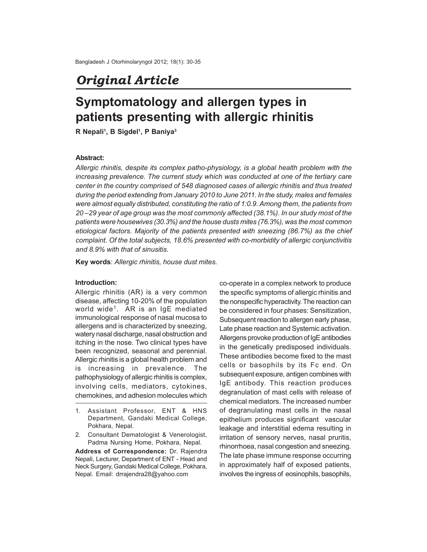## *Original Article*

# **Symptomatology and allergen types in patients presenting with allergic rhinitis**

**R Nepali<sup>1</sup> , B Sigdel<sup>1</sup> , P Baniya<sup>3</sup>**

#### **Abstract:**

*Allergic rhinitis, despite its complex patho-physiology, is a global health problem with the increasing prevalence. The current study which was conducted at one of the tertiary care center in the country comprised of 548 diagnosed cases of allergic rhinitis and thus treated during the period extending from January 2010 to June 2011. In the study, males and females were almost equally distributed, constituting the ratio of 1:0.9. Among them, the patients from 20 –29 year of age group was the most commonly affected (38.1%). In our study most of the patients were housewives (30.3%) and the house dusts mites (76.3%), was the most common etiological factors. Majority of the patients presented with sneezing (86.7%) as the chief complaint. Of the total subjects, 18.6% presented with co-morbidity of allergic conjunctivitis and 8.9% with that of sinusitis.*

**Key words**: *Allergic rhinitis, house dust mites.*

#### **Introduction:**

Allergic rhinitis (AR) is a very common disease, affecting 10-20% of the population world wide<sup>1</sup>. AR is an IgE mediated immunological response of nasal mucosa to allergens and is characterized by sneezing, watery nasal discharge, nasal obstruction and itching in the nose. Two clinical types have been recognized, seasonal and perennial. Allergic rhinitis is a global health problem and is increasing in prevalence. The pathophysiology of allergic rhinitis is complex, involving cells, mediators, cytokines, chemokines, and adhesion molecules which

2. Consultant Dematologist & Venerologist, Padma Nursing Home, Pokhara, Nepal.

**Address of Correspondence:** Dr. Rajendra Nepali, Lecturer, Department of ENT - Head and Neck Surgery, Gandaki Medical College, Pokhara, Nepal. Email: drrajendra28@yahoo.com

co-operate in a complex network to produce the specific symptoms of allergic rhinitis and the nonspecific hyperactivity. The reaction can be considered in four phases: Sensitization, Subsequent reaction to allergen early phase, Late phase reaction and Systemic activation. Allergens provoke production of IgE antibodies in the genetically predisposed individuals. These antibodies become fixed to the mast cells or basophils by its Fc end. On subsequent exposure, antigen combines with IgE antibody. This reaction produces degranulation of mast cells with release of chemical mediators. The increased number of degranulating mast cells in the nasal epithelium produces significant vascular leakage and interstitial edema resulting in irritation of sensory nerves, nasal pruritis, rhinorrhoea, nasal congestion and sneezing. The late phase immune response occurring in approximately half of exposed patients, involves the ingress of eosinophils, basophils,

<sup>1.</sup> Assistant Professor, ENT & HNS Department, Gandaki Medical College, Pokhara, Nepal.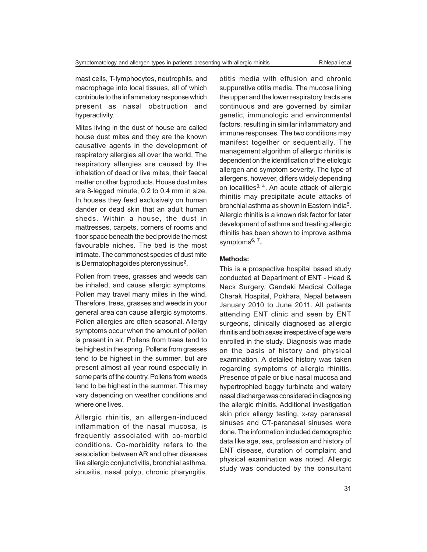mast cells, T-lymphocytes, neutrophils, and macrophage into local tissues, all of which contribute to the inflammatory response which present as nasal obstruction and hyperactivity.

Mites living in the dust of house are called house dust mites and they are the known causative agents in the development of respiratory allergies all over the world. The respiratory allergies are caused by the inhalation of dead or live mites, their faecal matter or other byproducts. House dust mites are 8-legged minute, 0.2 to 0.4 mm in size. In houses they feed exclusively on human dander or dead skin that an adult human sheds. Within a house, the dust in mattresses, carpets, corners of rooms and floor space beneath the bed provide the most favourable niches. The bed is the most intimate. The commonest species of dust mite is Dermatophagoides pteronyssinus<sup>2</sup>.

Pollen from trees, grasses and weeds can be inhaled, and cause allergic symptoms. Pollen may travel many miles in the wind. Therefore, trees, grasses and weeds in your general area can cause allergic symptoms. Pollen allergies are often seasonal. Allergy symptoms occur when the amount of pollen is present in air. Pollens from trees tend to be highest in the spring. Pollens from grasses tend to be highest in the summer, but are present almost all year round especially in some parts of the country. Pollens from weeds tend to be highest in the summer. This may vary depending on weather conditions and where one lives.

Allergic rhinitis, an allergen-induced inflammation of the nasal mucosa, is frequently associated with co-morbid conditions. Co-morbidity refers to the association between AR and other diseases like allergic conjunctivitis, bronchial asthma, sinusitis, nasal polyp, chronic pharyngitis,

otitis media with effusion and chronic suppurative otitis media. The mucosa lining the upper and the lower respiratory tracts are continuous and are governed by similar genetic, immunologic and environmental factors, resulting in similar inflammatory and immune responses. The two conditions may manifest together or sequentially. The management algorithm of allergic rhinitis is dependent on the identification of the etiologic allergen and symptom severity. The type of allergens, however, differs widely depending on localities<sup>3, 4</sup>. An acute attack of allergic rhinitis may precipitate acute attacks of bronchial asthma as shown in Eastern India<sup>5</sup>. Allergic rhinitis is a known risk factor for later development of asthma and treating allergic rhinitis has been shown to improve asthma symptoms6, 7 **.**

#### **Methods:**

This is a prospective hospital based study conducted at Department of ENT - Head & Neck Surgery, Gandaki Medical College Charak Hospital, Pokhara, Nepal between January 2010 to June 2011. All patients attending ENT clinic and seen by ENT surgeons, clinically diagnosed as allergic rhinitis and both sexes irrespective of age were enrolled in the study. Diagnosis was made on the basis of history and physical examination. A detailed history was taken regarding symptoms of allergic rhinitis. Presence of pale or blue nasal mucosa and hypertrophied boggy turbinate and watery nasal discharge was considered in diagnosing the allergic rhinitis. Additional investigation skin prick allergy testing, x-ray paranasal sinuses and CT-paranasal sinuses were done. The information included demographic data like age, sex, profession and history of ENT disease, duration of complaint and physical examination was noted. Allergic study was conducted by the consultant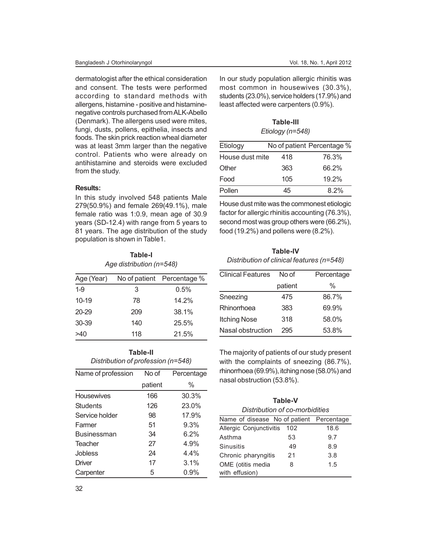dermatologist after the ethical consideration and consent. The tests were performed according to standard methods with allergens, histamine - positive and histaminenegative controls purchased from ALK-Abello (Denmark). The allergens used were mites, fungi, dusts, pollens, epithelia, insects and foods. The skin prick reaction wheal diameter was at least 3mm larger than the negative control. Patients who were already on antihistamine and steroids were excluded from the study.

#### **Results:**

In this study involved 548 patients Male 279(50.9%) and female 269(49.1%), male female ratio was 1:0.9, mean age of 30.9 years (SD-12.4) with range from 5 years to 81 years. The age distribution of the study population is shown in Table1.

**Table-I**

| 14VI <del>C</del> -1<br>Age distribution (n=548) |     |                            |  |
|--------------------------------------------------|-----|----------------------------|--|
| Age (Year)                                       |     | No of patient Percentage % |  |
| $1 - 9$                                          | 3   | 0.5%                       |  |
| $10 - 19$                                        | 78  | 14.2%                      |  |
| $20 - 29$                                        | 209 | 38.1%                      |  |
| 30-39                                            | 140 | 25.5%                      |  |
| >40                                              | 118 | 21.5%                      |  |

**Table-II** *Distribution of profession (n=548)*

| Name of profession | No of   | Percentage |
|--------------------|---------|------------|
|                    | patient | $\%$       |
| <b>Housewives</b>  | 166     | 30.3%      |
| Students           | 126     | 23.0%      |
| Service holder     | 98      | 17.9%      |
| Farmer             | 51      | 9.3%       |
| <b>Businessman</b> | 34      | $6.2\%$    |
| Teacher            | 27      | 4.9%       |
| Jobless            | 24      | $4.4\%$    |
| Driver             | 17      | 3.1%       |
| Carpenter          | 5       | $0.9\%$    |

In our study population allergic rhinitis was most common in housewives (30.3%), students (23.0%), service holders (17.9%) and least affected were carpenters (0.9%).

**Table-III** *Etiology (n=548)*

| Etiology        |     | No of patient Percentage % |
|-----------------|-----|----------------------------|
| House dust mite | 418 | 76.3%                      |
| Other           | 363 | 66.2%                      |
| Food            | 105 | 19.2%                      |
| Pollen          | 45  | $8.2\%$                    |

House dust mite was the commonest etiologic factor for allergic rhinitis accounting (76.3%), second most was group others were (66.2%), food (19.2%) and pollens were (8.2%).

**Table-IV** *Distribution of clinical features (n=548)*

| <b>Clinical Features</b> | No of   | Percentage |
|--------------------------|---------|------------|
|                          | patient | $\%$       |
| Sneezing                 | 475     | 86.7%      |
| Rhinorrhoea              | 383     | 69.9%      |
| <b>Itching Nose</b>      | 318     | 58.0%      |
| Nasal obstruction        | 295     | 53.8%      |

The majority of patients of our study present with the complaints of sneezing (86.7%), rhinorrhoea (69.9%), itching nose (58.0%) and nasal obstruction (53.8%).

| Table-V                                  |     |      |  |  |
|------------------------------------------|-----|------|--|--|
| Distribution of co-morbidities           |     |      |  |  |
| Name of disease No of patient Percentage |     |      |  |  |
| Allergic Conjunctivitis                  | 102 | 18.6 |  |  |
| Asthma                                   | 53  | 9.7  |  |  |
| <b>Sinusitis</b>                         | 49  | 8.9  |  |  |
| Chronic pharyngitis                      | 21  | 3.8  |  |  |
| OME (otitis media<br>with effusion)      | 8   | 1.5  |  |  |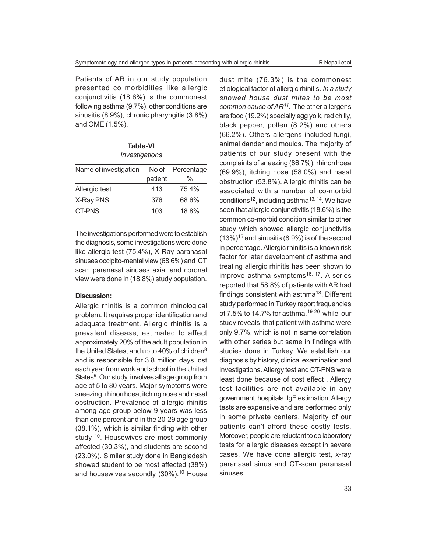Patients of AR in our study population presented co morbidities like allergic conjunctivitis (18.6%) is the commonest following asthma (9.7%), other conditions are sinusitis (8.9%), chronic pharyngitis (3.8%) and OME (1.5%).

**Table-VI** *Investigations*

| Name of investigation | No of   | Percentage |
|-----------------------|---------|------------|
|                       | patient | %          |
| Allergic test         | 413     | 75.4%      |
| X-Ray PNS             | 376     | 68.6%      |
| CT-PNS                | 103     | 18.8%      |

The investigations performed were to establish the diagnosis, some investigations were done like allergic test (75.4%), X-Ray paranasal sinuses occipito-mental view (68.6%) and CT scan paranasal sinuses axial and coronal view were done in (18.8%) study population.

#### **Discussion:**

Allergic rhinitis is a common rhinological problem. It requires proper identification and adequate treatment. Allergic rhinitis is a prevalent disease, estimated to affect approximately 20% of the adult population in the United States, and up to 40% of children<sup>8</sup> and is responsible for 3.8 million days lost each year from work and school in the United States<sup>9</sup>. Our study, involves all age group from age of 5 to 80 years. Major symptoms were sneezing, rhinorrhoea, itching nose and nasal obstruction. Prevalence of allergic rhinitis among age group below 9 years was less than one percent and in the 20-29 age group (38.1%), which is similar finding with other study <sup>10</sup>. Housewives are most commonly affected (30.3%), and students are second (23.0%). Similar study done in Bangladesh showed student to be most affected (38%) and housewives secondly  $(30\%)$ .<sup>10</sup> House

dust mite (76.3%) is the commonest etiological factor of allergic rhinitis. *In a study showed house dust mites to be most common cause of AR<sup>11</sup> .* The other allergens are food (19.2%) specially egg yolk, red chilly, black pepper, pollen (8.2%) and others (66.2%). Others allergens included fungi, animal dander and moulds. The majority of patients of our study present with the complaints of sneezing (86.7%), rhinorrhoea (69.9%), itching nose (58.0%) and nasal obstruction (53.8%). Allergic rhinitis can be associated with a number of co-morbid conditions<sup>12</sup>, including asthma<sup>13, 14</sup>. We have seen that allergic conjunctivitis (18.6%) is the common co-morbid condition similar to other study which showed allergic conjunctivitis  $(13\%)$ <sup>15</sup> and sinusitis (8.9%) is of the second in percentage. Allergic rhinitis is a known risk factor for later development of asthma and treating allergic rhinitis has been shown to improve asthma symptoms<sup>16, 17</sup>. A series reported that 58.8% of patients with AR had findings consistent with asthma<sup>18</sup>. Different study performed in Turkey report frequencies of 7.5% to 14.7% for asthma,  $19-20$  while our study reveals that patient with asthma were only 9.7%, which is not in same correlation with other series but same in findings with studies done in Turkey. We establish our diagnosis by history, clinical examination and investigations. Allergy test and CT-PNS were least done because of cost effect . Allergy test facilities are not available in any government hospitals. IgE estimation, Allergy tests are expensive and are performed only in some private centers. Majority of our patients can't afford these costly tests. Moreover, people are reluctant to do laboratory tests for allergic diseases except in severe cases. We have done allergic test, x-ray paranasal sinus and CT-scan paranasal sinuses.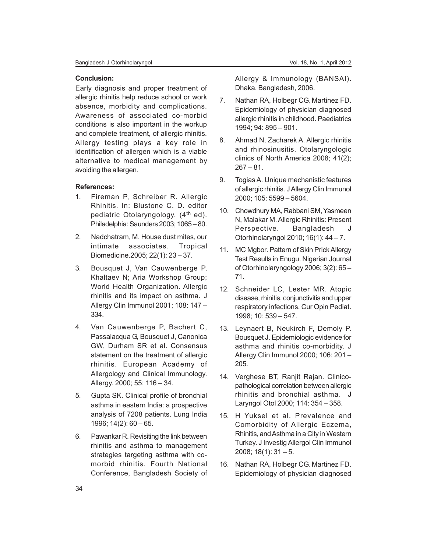#### **Conclusion:**

Early diagnosis and proper treatment of allergic rhinitis help reduce school or work absence, morbidity and complications. Awareness of associated co-morbid conditions is also important in the workup and complete treatment, of allergic rhinitis. Allergy testing plays a key role in identification of allergen which is a viable alternative to medical management by avoiding the allergen.

### **References:**

- 1. Fireman P, Schreiber R. Allergic Rhinitis. In: Blustone C. D. editor pediatric Otolaryngology. (4<sup>th</sup> ed). Philadelphia: Saunders 2003; 1065 – 80.
- 2. Nadchatram, M. House dust mites, our intimate associates. Tropical Biomedicine.2005; 22(1): 23 – 37.
- 3. Bousquet J, Van Cauwenberge P, Khaltaev N; Aria Workshop Group; World Health Organization. Allergic rhinitis and its impact on asthma. J Allergy Clin Immunol 2001; 108: 147 – 334.
- 4. Van Cauwenberge P, Bachert C, Passalacqua G, Bousquet J, Canonica GW, Durham SR et al. Consensus statement on the treatment of allergic rhinitis. European Academy of Allergology and Clinical Immunology. Allergy. 2000; 55: 116 – 34.
- 5. Gupta SK. Clinical profile of bronchial asthma in eastern India: a prospective analysis of 7208 patients. Lung India 1996; 14(2): 60 – 65.
- 6. Pawankar R. Revisiting the link between rhinitis and asthma to management strategies targeting asthma with comorbid rhinitis. Fourth National Conference, Bangladesh Society of

Allergy & Immunology (BANSAI). Dhaka, Bangladesh, 2006.

- 7. Nathan RA, Holbegr CG, Martinez FD. Epidemiology of physician diagnosed allergic rhinitis in childhood. Paediatrics 1994; 94: 895 – 901.
- 8. Ahmad N, Zacharek A. Allergic rhinitis and rhinosinusitis. Otolaryngologic clinics of North America 2008; 41(2);  $267 - 81$ .
- 9. Togias A. Unique mechanistic features of allergic rhinitis. J Allergy Clin Immunol 2000; 105: 5599 – 5604.
- 10. Chowdhury MA, Rabbani SM, Yasmeen N, Malakar M. Allergic Rhinitis: Present Perspective. Bangladesh J Otorhinolaryngol 2010; 16(1): 44 – 7.
- 11. MC Mgbor. Pattern of Skin Prick Allergy Test Results in Enugu. Nigerian Journal of Otorhinolaryngology 2006; 3(2): 65 – 71.
- 12. Schneider LC, Lester MR. Atopic disease, rhinitis, conjunctivitis and upper respiratory infections. Cur Opin Pediat. 1998; 10: 539 – 547.
- 13. Leynaert B, Neukirch F, Demoly P. Bousquet J. Epidemiologic evidence for asthma and rhinitis co-morbidity. J Allergy Clin Immunol 2000; 106: 201 – 205.
- 14. Verghese BT, Ranjit Rajan. Clinicopathological correlation between allergic rhinitis and bronchial asthma. J Laryngol Otol 2000; 114: 354 – 358.
- 15. H Yuksel et al. Prevalence and Comorbidity of Allergic Eczema, Rhinitis, and Asthma in a City in Western Turkey. J Investig Allergol Clin Immunol 2008; 18(1): 31 – 5.
- 16. Nathan RA, Holbegr CG, Martinez FD. Epidemiology of physician diagnosed